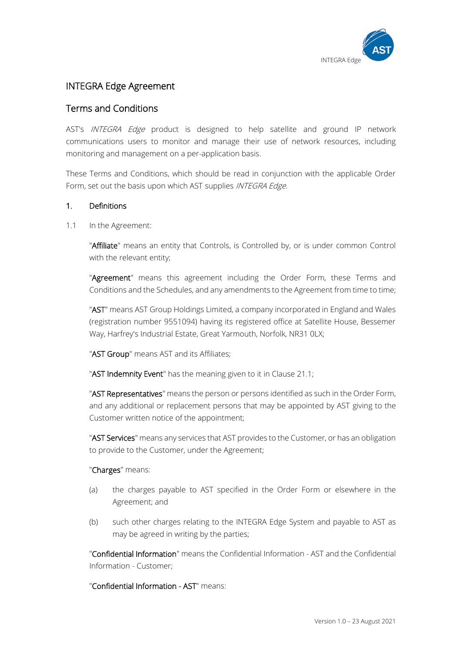

# INTEGRA Edge Agreement

# Terms and Conditions

AST's *INTEGRA Edge* product is designed to help satellite and ground IP network communications users to monitor and manage their use of network resources, including monitoring and management on a per-application basis.

These Terms and Conditions, which should be read in conjunction with the applicable Order Form, set out the basis upon which AST supplies INTEGRA Edge.

# 1. Definitions

1.1 In the Agreement:

"Affiliate" means an entity that Controls, is Controlled by, or is under common Control with the relevant entity;

"Agreement" means this agreement including the Order Form, these Terms and Conditions and the Schedules, and any amendments to the Agreement from time to time;

"AST" means AST Group Holdings Limited, a company incorporated in England and Wales (registration number 9551094) having its registered office at Satellite House, Bessemer Way, Harfrey's Industrial Estate, Great Yarmouth, Norfolk, NR31 0LX;

"AST Group" means AST and its Affiliates;

"AST Indemnity Event" has the meaning given to it in Clause 21.1;

"AST Representatives" means the person or persons identified as such in the Order Form, and any additional or replacement persons that may be appointed by AST giving to the Customer written notice of the appointment;

"AST Services" means any services that AST provides to the Customer, or has an obligation to provide to the Customer, under the Agreement;

# "Charges" means:

- (a) the charges payable to AST specified in the Order Form or elsewhere in the Agreement; and
- (b) such other charges relating to the INTEGRA Edge System and payable to AST as may be agreed in writing by the parties;

"Confidential Information" means the Confidential Information - AST and the Confidential Information - Customer;

"Confidential Information - AST" means: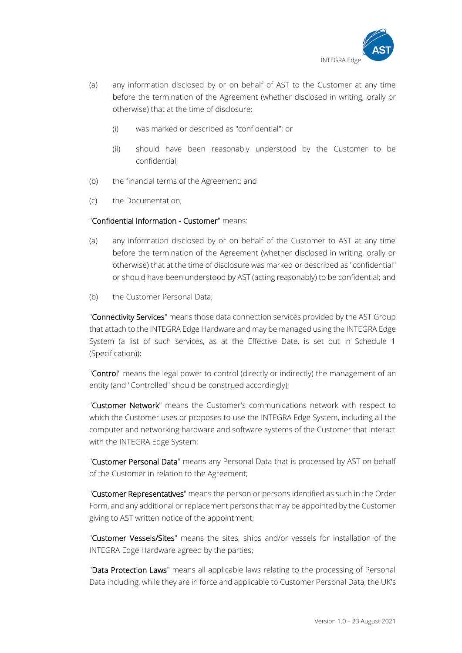

- (a) any information disclosed by or on behalf of AST to the Customer at any time before the termination of the Agreement (whether disclosed in writing, orally or otherwise) that at the time of disclosure:
	- (i) was marked or described as "confidential"; or
	- (ii) should have been reasonably understood by the Customer to be confidential;
- (b) the financial terms of the Agreement; and
- (c) the Documentation;

# "Confidential Information - Customer" means:

- (a) any information disclosed by or on behalf of the Customer to AST at any time before the termination of the Agreement (whether disclosed in writing, orally or otherwise) that at the time of disclosure was marked or described as "confidential" or should have been understood by AST (acting reasonably) to be confidential; and
- (b) the Customer Personal Data;

"Connectivity Services" means those data connection services provided by the AST Group that attach to the INTEGRA Edge Hardware and may be managed using the INTEGRA Edge System (a list of such services, as at the Effective Date, is set out in Schedule 1 (Specification));

"Control" means the legal power to control (directly or indirectly) the management of an entity (and "Controlled" should be construed accordingly);

"Customer Network" means the Customer's communications network with respect to which the Customer uses or proposes to use the INTEGRA Edge System, including all the computer and networking hardware and software systems of the Customer that interact with the INTEGRA Edge System;

"Customer Personal Data" means any Personal Data that is processed by AST on behalf of the Customer in relation to the Agreement;

"Customer Representatives" means the person or persons identified as such in the Order Form, and any additional or replacement persons that may be appointed by the Customer giving to AST written notice of the appointment;

"Customer Vessels/Sites" means the sites, ships and/or vessels for installation of the INTEGRA Edge Hardware agreed by the parties;

"Data Protection Laws" means all applicable laws relating to the processing of Personal Data including, while they are in force and applicable to Customer Personal Data, the UK's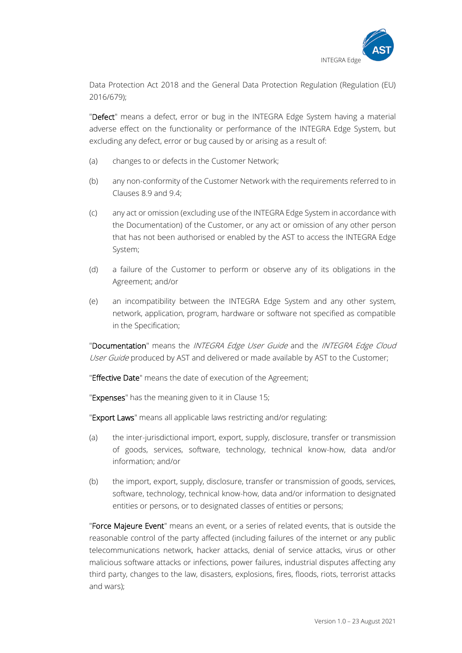

Data Protection Act 2018 and the General Data Protection Regulation (Regulation (EU) 2016/679);

"Defect" means a defect, error or bug in the INTEGRA Edge System having a material adverse effect on the functionality or performance of the INTEGRA Edge System, but excluding any defect, error or bug caused by or arising as a result of:

- (a) changes to or defects in the Customer Network;
- (b) any non-conformity of the Customer Network with the requirements referred to in Clauses 8.9 and 9.4;
- (c) any act or omission (excluding use of the INTEGRA Edge System in accordance with the Documentation) of the Customer, or any act or omission of any other person that has not been authorised or enabled by the AST to access the INTEGRA Edge System;
- (d) a failure of the Customer to perform or observe any of its obligations in the Agreement; and/or
- (e) an incompatibility between the INTEGRA Edge System and any other system, network, application, program, hardware or software not specified as compatible in the Specification;

"Documentation" means the INTEGRA Edge User Guide and the INTEGRA Edge Cloud User Guide produced by AST and delivered or made available by AST to the Customer;

"Effective Date" means the date of execution of the Agreement;

"Expenses" has the meaning given to it in Clause 15;

"Export Laws" means all applicable laws restricting and/or regulating:

- (a) the inter-jurisdictional import, export, supply, disclosure, transfer or transmission of goods, services, software, technology, technical know-how, data and/or information; and/or
- (b) the import, export, supply, disclosure, transfer or transmission of goods, services, software, technology, technical know-how, data and/or information to designated entities or persons, or to designated classes of entities or persons;

"Force Majeure Event" means an event, or a series of related events, that is outside the reasonable control of the party affected (including failures of the internet or any public telecommunications network, hacker attacks, denial of service attacks, virus or other malicious software attacks or infections, power failures, industrial disputes affecting any third party, changes to the law, disasters, explosions, fires, floods, riots, terrorist attacks and wars);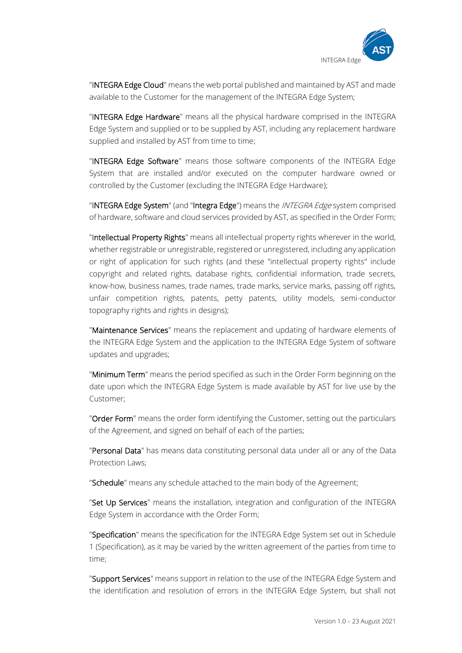

"INTEGRA Edge Cloud" means the web portal published and maintained by AST and made available to the Customer for the management of the INTEGRA Edge System;

"INTEGRA Edge Hardware" means all the physical hardware comprised in the INTEGRA Edge System and supplied or to be supplied by AST, including any replacement hardware supplied and installed by AST from time to time;

"INTEGRA Edge Software" means those software components of the INTEGRA Edge System that are installed and/or executed on the computer hardware owned or controlled by the Customer (excluding the INTEGRA Edge Hardware);

"INTEGRA Edge System" (and "Integra Edge") means the *INTEGRA Edge* system comprised of hardware, software and cloud services provided by AST, as specified in the Order Form;

"Intellectual Property Rights" means all intellectual property rights wherever in the world, whether registrable or unregistrable, registered or unregistered, including any application or right of application for such rights (and these "intellectual property rights" include copyright and related rights, database rights, confidential information, trade secrets, know-how, business names, trade names, trade marks, service marks, passing off rights, unfair competition rights, patents, petty patents, utility models, semi-conductor topography rights and rights in designs);

"Maintenance Services" means the replacement and updating of hardware elements of the INTEGRA Edge System and the application to the INTEGRA Edge System of software updates and upgrades;

"Minimum Term" means the period specified as such in the Order Form beginning on the date upon which the INTEGRA Edge System is made available by AST for live use by the Customer;

"Order Form" means the order form identifying the Customer, setting out the particulars of the Agreement, and signed on behalf of each of the parties;

"Personal Data" has means data constituting personal data under all or any of the Data Protection Laws;

"Schedule" means any schedule attached to the main body of the Agreement;

"Set Up Services" means the installation, integration and configuration of the INTEGRA Edge System in accordance with the Order Form;

"Specification" means the specification for the INTEGRA Edge System set out in Schedule 1 (Specification), as it may be varied by the written agreement of the parties from time to time;

"Support Services" means support in relation to the use of the INTEGRA Edge System and the identification and resolution of errors in the INTEGRA Edge System, but shall not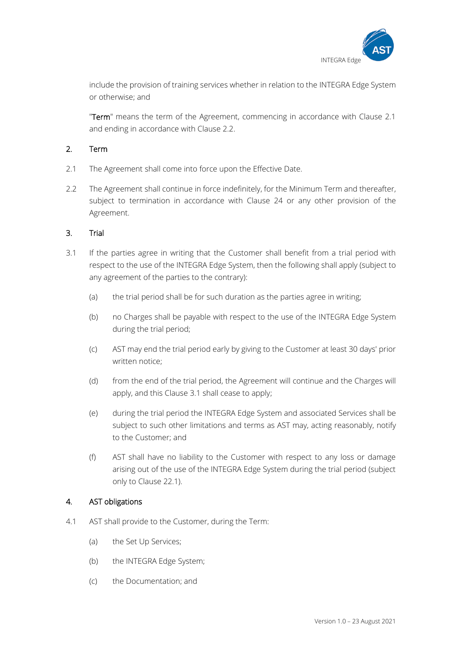

include the provision of training services whether in relation to the INTEGRA Edge System or otherwise; and

"Term" means the term of the Agreement, commencing in accordance with Clause 2.1 and ending in accordance with Clause 2.2.

# 2. Term

- 2.1 The Agreement shall come into force upon the Effective Date.
- 2.2 The Agreement shall continue in force indefinitely, for the Minimum Term and thereafter, subject to termination in accordance with Clause 24 or any other provision of the Agreement.

# 3. Trial

- 3.1 If the parties agree in writing that the Customer shall benefit from a trial period with respect to the use of the INTEGRA Edge System, then the following shall apply (subject to any agreement of the parties to the contrary):
	- (a) the trial period shall be for such duration as the parties agree in writing;
	- (b) no Charges shall be payable with respect to the use of the INTEGRA Edge System during the trial period;
	- (c) AST may end the trial period early by giving to the Customer at least 30 days' prior written notice;
	- (d) from the end of the trial period, the Agreement will continue and the Charges will apply, and this Clause 3.1 shall cease to apply;
	- (e) during the trial period the INTEGRA Edge System and associated Services shall be subject to such other limitations and terms as AST may, acting reasonably, notify to the Customer; and
	- (f) AST shall have no liability to the Customer with respect to any loss or damage arising out of the use of the INTEGRA Edge System during the trial period (subject only to Clause 22.1).

# 4. AST obligations

- 4.1 AST shall provide to the Customer, during the Term:
	- (a) the Set Up Services;
	- (b) the INTEGRA Edge System;
	- (c) the Documentation; and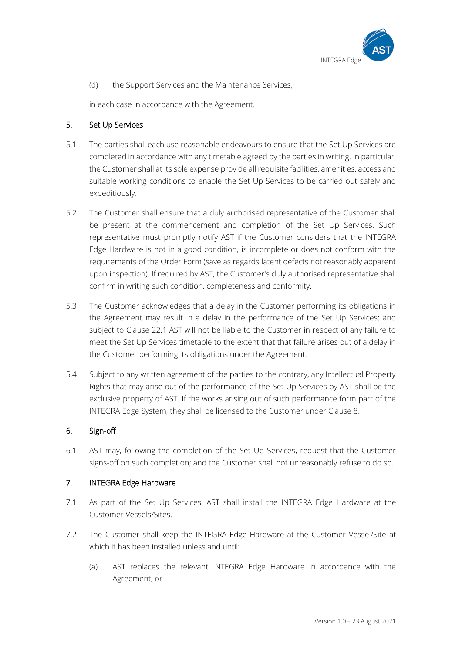

(d) the Support Services and the Maintenance Services,

in each case in accordance with the Agreement.

# 5. Set Up Services

- 5.1 The parties shall each use reasonable endeavours to ensure that the Set Up Services are completed in accordance with any timetable agreed by the parties in writing. In particular, the Customer shall at its sole expense provide all requisite facilities, amenities, access and suitable working conditions to enable the Set Up Services to be carried out safely and expeditiously.
- 5.2 The Customer shall ensure that a duly authorised representative of the Customer shall be present at the commencement and completion of the Set Up Services. Such representative must promptly notify AST if the Customer considers that the INTEGRA Edge Hardware is not in a good condition, is incomplete or does not conform with the requirements of the Order Form (save as regards latent defects not reasonably apparent upon inspection). If required by AST, the Customer's duly authorised representative shall confirm in writing such condition, completeness and conformity.
- 5.3 The Customer acknowledges that a delay in the Customer performing its obligations in the Agreement may result in a delay in the performance of the Set Up Services; and subject to Clause 22.1 AST will not be liable to the Customer in respect of any failure to meet the Set Up Services timetable to the extent that that failure arises out of a delay in the Customer performing its obligations under the Agreement.
- 5.4 Subject to any written agreement of the parties to the contrary, any Intellectual Property Rights that may arise out of the performance of the Set Up Services by AST shall be the exclusive property of AST. If the works arising out of such performance form part of the INTEGRA Edge System, they shall be licensed to the Customer under Clause 8.

# 6. Sign-off

6.1 AST may, following the completion of the Set Up Services, request that the Customer signs-off on such completion; and the Customer shall not unreasonably refuse to do so.

# 7. INTEGRA Edge Hardware

- 7.1 As part of the Set Up Services, AST shall install the INTEGRA Edge Hardware at the Customer Vessels/Sites.
- 7.2 The Customer shall keep the INTEGRA Edge Hardware at the Customer Vessel/Site at which it has been installed unless and until:
	- (a) AST replaces the relevant INTEGRA Edge Hardware in accordance with the Agreement; or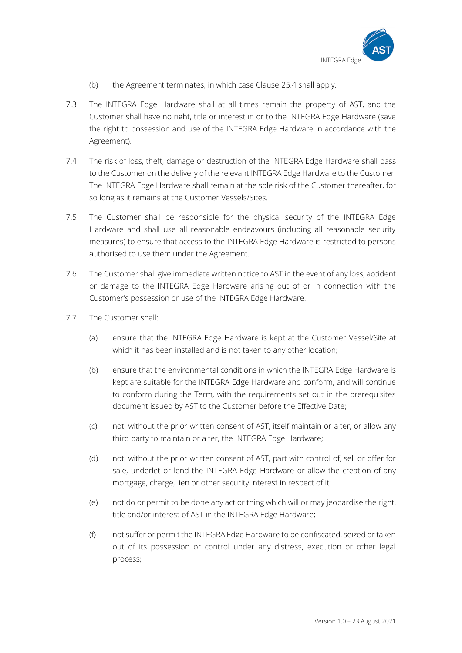

- (b) the Agreement terminates, in which case Clause 25.4 shall apply.
- 7.3 The INTEGRA Edge Hardware shall at all times remain the property of AST, and the Customer shall have no right, title or interest in or to the INTEGRA Edge Hardware (save the right to possession and use of the INTEGRA Edge Hardware in accordance with the Agreement).
- 7.4 The risk of loss, theft, damage or destruction of the INTEGRA Edge Hardware shall pass to the Customer on the delivery of the relevant INTEGRA Edge Hardware to the Customer. The INTEGRA Edge Hardware shall remain at the sole risk of the Customer thereafter, for so long as it remains at the Customer Vessels/Sites.
- 7.5 The Customer shall be responsible for the physical security of the INTEGRA Edge Hardware and shall use all reasonable endeavours (including all reasonable security measures) to ensure that access to the INTEGRA Edge Hardware is restricted to persons authorised to use them under the Agreement.
- 7.6 The Customer shall give immediate written notice to AST in the event of any loss, accident or damage to the INTEGRA Edge Hardware arising out of or in connection with the Customer's possession or use of the INTEGRA Edge Hardware.
- 7.7 The Customer shall:
	- (a) ensure that the INTEGRA Edge Hardware is kept at the Customer Vessel/Site at which it has been installed and is not taken to any other location;
	- (b) ensure that the environmental conditions in which the INTEGRA Edge Hardware is kept are suitable for the INTEGRA Edge Hardware and conform, and will continue to conform during the Term, with the requirements set out in the prerequisites document issued by AST to the Customer before the Effective Date;
	- (c) not, without the prior written consent of AST, itself maintain or alter, or allow any third party to maintain or alter, the INTEGRA Edge Hardware;
	- (d) not, without the prior written consent of AST, part with control of, sell or offer for sale, underlet or lend the INTEGRA Edge Hardware or allow the creation of any mortgage, charge, lien or other security interest in respect of it;
	- (e) not do or permit to be done any act or thing which will or may jeopardise the right, title and/or interest of AST in the INTEGRA Edge Hardware;
	- (f) not suffer or permit the INTEGRA Edge Hardware to be confiscated, seized or taken out of its possession or control under any distress, execution or other legal process;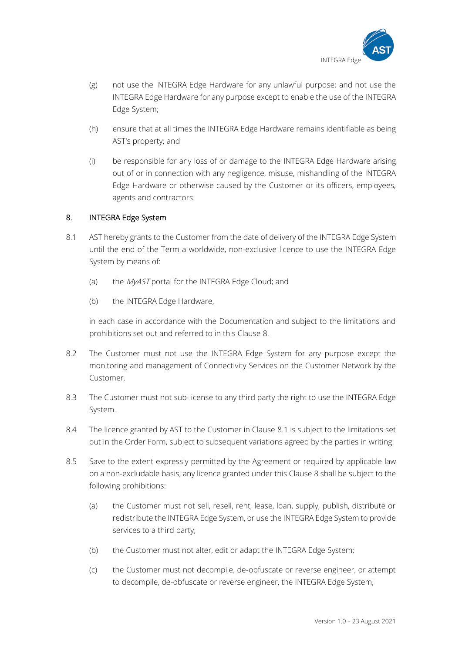

- (g) not use the INTEGRA Edge Hardware for any unlawful purpose; and not use the INTEGRA Edge Hardware for any purpose except to enable the use of the INTEGRA Edge System;
- (h) ensure that at all times the INTEGRA Edge Hardware remains identifiable as being AST's property; and
- (i) be responsible for any loss of or damage to the INTEGRA Edge Hardware arising out of or in connection with any negligence, misuse, mishandling of the INTEGRA Edge Hardware or otherwise caused by the Customer or its officers, employees, agents and contractors.

# 8. INTEGRA Edge System

- 8.1 AST hereby grants to the Customer from the date of delivery of the INTEGRA Edge System until the end of the Term a worldwide, non-exclusive licence to use the INTEGRA Edge System by means of:
	- (a) the *MyAST* portal for the INTEGRA Edge Cloud; and
	- (b) the INTEGRA Edge Hardware,

in each case in accordance with the Documentation and subject to the limitations and prohibitions set out and referred to in this Clause 8.

- 8.2 The Customer must not use the INTEGRA Edge System for any purpose except the monitoring and management of Connectivity Services on the Customer Network by the Customer.
- 8.3 The Customer must not sub-license to any third party the right to use the INTEGRA Edge System.
- 8.4 The licence granted by AST to the Customer in Clause 8.1 is subject to the limitations set out in the Order Form, subject to subsequent variations agreed by the parties in writing.
- 8.5 Save to the extent expressly permitted by the Agreement or required by applicable law on a non-excludable basis, any licence granted under this Clause 8 shall be subject to the following prohibitions:
	- (a) the Customer must not sell, resell, rent, lease, loan, supply, publish, distribute or redistribute the INTEGRA Edge System, or use the INTEGRA Edge System to provide services to a third party;
	- (b) the Customer must not alter, edit or adapt the INTEGRA Edge System;
	- (c) the Customer must not decompile, de-obfuscate or reverse engineer, or attempt to decompile, de-obfuscate or reverse engineer, the INTEGRA Edge System;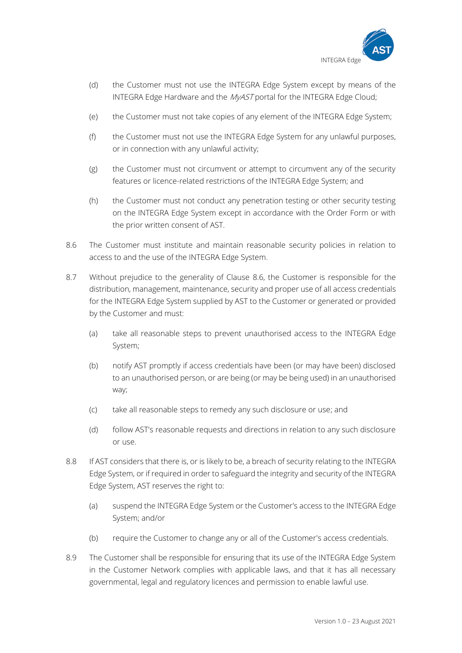

- (d) the Customer must not use the INTEGRA Edge System except by means of the INTEGRA Edge Hardware and the MyAST portal for the INTEGRA Edge Cloud;
- (e) the Customer must not take copies of any element of the INTEGRA Edge System;
- (f) the Customer must not use the INTEGRA Edge System for any unlawful purposes, or in connection with any unlawful activity;
- (g) the Customer must not circumvent or attempt to circumvent any of the security features or licence-related restrictions of the INTEGRA Edge System; and
- (h) the Customer must not conduct any penetration testing or other security testing on the INTEGRA Edge System except in accordance with the Order Form or with the prior written consent of AST.
- 8.6 The Customer must institute and maintain reasonable security policies in relation to access to and the use of the INTEGRA Edge System.
- 8.7 Without prejudice to the generality of Clause 8.6, the Customer is responsible for the distribution, management, maintenance, security and proper use of all access credentials for the INTEGRA Edge System supplied by AST to the Customer or generated or provided by the Customer and must:
	- (a) take all reasonable steps to prevent unauthorised access to the INTEGRA Edge System;
	- (b) notify AST promptly if access credentials have been (or may have been) disclosed to an unauthorised person, or are being (or may be being used) in an unauthorised way;
	- (c) take all reasonable steps to remedy any such disclosure or use; and
	- (d) follow AST's reasonable requests and directions in relation to any such disclosure or use.
- 8.8 If AST considers that there is, or is likely to be, a breach of security relating to the INTEGRA Edge System, or if required in order to safeguard the integrity and security of the INTEGRA Edge System, AST reserves the right to:
	- (a) suspend the INTEGRA Edge System or the Customer's access to the INTEGRA Edge System; and/or
	- (b) require the Customer to change any or all of the Customer's access credentials.
- 8.9 The Customer shall be responsible for ensuring that its use of the INTEGRA Edge System in the Customer Network complies with applicable laws, and that it has all necessary governmental, legal and regulatory licences and permission to enable lawful use.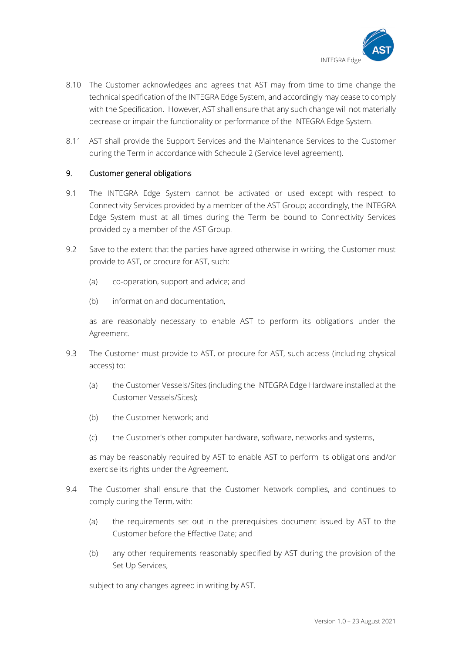

- 8.10 The Customer acknowledges and agrees that AST may from time to time change the technical specification of the INTEGRA Edge System, and accordingly may cease to comply with the Specification. However, AST shall ensure that any such change will not materially decrease or impair the functionality or performance of the INTEGRA Edge System.
- 8.11 AST shall provide the Support Services and the Maintenance Services to the Customer during the Term in accordance with Schedule 2 (Service level agreement).

# 9. Customer general obligations

- 9.1 The INTEGRA Edge System cannot be activated or used except with respect to Connectivity Services provided by a member of the AST Group; accordingly, the INTEGRA Edge System must at all times during the Term be bound to Connectivity Services provided by a member of the AST Group.
- 9.2 Save to the extent that the parties have agreed otherwise in writing, the Customer must provide to AST, or procure for AST, such:
	- (a) co-operation, support and advice; and
	- (b) information and documentation,

as are reasonably necessary to enable AST to perform its obligations under the Agreement.

- 9.3 The Customer must provide to AST, or procure for AST, such access (including physical access) to:
	- (a) the Customer Vessels/Sites (including the INTEGRA Edge Hardware installed at the Customer Vessels/Sites);
	- (b) the Customer Network; and
	- (c) the Customer's other computer hardware, software, networks and systems,

as may be reasonably required by AST to enable AST to perform its obligations and/or exercise its rights under the Agreement.

- 9.4 The Customer shall ensure that the Customer Network complies, and continues to comply during the Term, with:
	- (a) the requirements set out in the prerequisites document issued by AST to the Customer before the Effective Date; and
	- (b) any other requirements reasonably specified by AST during the provision of the Set Up Services,

subject to any changes agreed in writing by AST.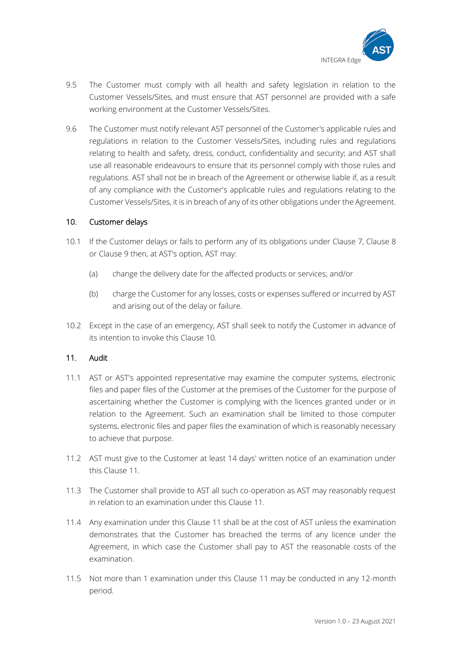

- 9.5 The Customer must comply with all health and safety legislation in relation to the Customer Vessels/Sites, and must ensure that AST personnel are provided with a safe working environment at the Customer Vessels/Sites.
- 9.6 The Customer must notify relevant AST personnel of the Customer's applicable rules and regulations in relation to the Customer Vessels/Sites, including rules and regulations relating to health and safety, dress, conduct, confidentiality and security; and AST shall use all reasonable endeavours to ensure that its personnel comply with those rules and regulations. AST shall not be in breach of the Agreement or otherwise liable if, as a result of any compliance with the Customer's applicable rules and regulations relating to the Customer Vessels/Sites, it is in breach of any of its other obligations under the Agreement.

# 10. Customer delays

- 10.1 If the Customer delays or fails to perform any of its obligations under Clause 7, Clause 8 or Clause 9 then, at AST's option, AST may:
	- (a) change the delivery date for the affected products or services; and/or
	- (b) charge the Customer for any losses, costs or expenses suffered or incurred by AST and arising out of the delay or failure.
- 10.2 Except in the case of an emergency, AST shall seek to notify the Customer in advance of its intention to invoke this Clause 10.

# 11. Audit

- 11.1 AST or AST's appointed representative may examine the computer systems, electronic files and paper files of the Customer at the premises of the Customer for the purpose of ascertaining whether the Customer is complying with the licences granted under or in relation to the Agreement. Such an examination shall be limited to those computer systems, electronic files and paper files the examination of which is reasonably necessary to achieve that purpose.
- 11.2 AST must give to the Customer at least 14 days' written notice of an examination under this Clause 11.
- 11.3 The Customer shall provide to AST all such co-operation as AST may reasonably request in relation to an examination under this Clause 11.
- 11.4 Any examination under this Clause 11 shall be at the cost of AST unless the examination demonstrates that the Customer has breached the terms of any licence under the Agreement, in which case the Customer shall pay to AST the reasonable costs of the examination.
- 11.5 Not more than 1 examination under this Clause 11 may be conducted in any 12-month period.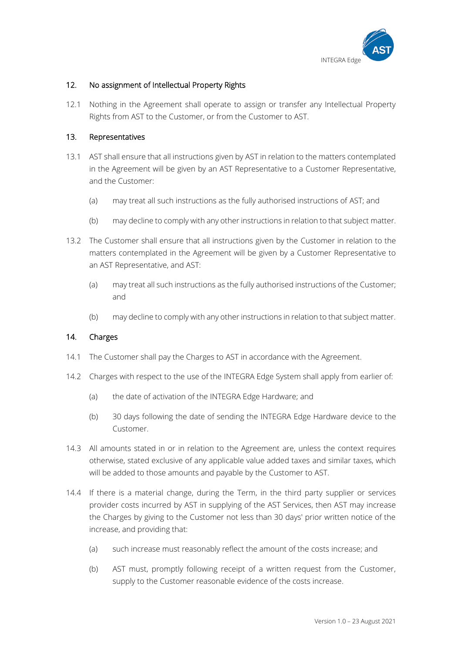

# 12. No assignment of Intellectual Property Rights

12.1 Nothing in the Agreement shall operate to assign or transfer any Intellectual Property Rights from AST to the Customer, or from the Customer to AST.

# 13. Representatives

- 13.1 AST shall ensure that all instructions given by AST in relation to the matters contemplated in the Agreement will be given by an AST Representative to a Customer Representative, and the Customer:
	- (a) may treat all such instructions as the fully authorised instructions of AST; and
	- (b) may decline to comply with any other instructions in relation to that subject matter.
- 13.2 The Customer shall ensure that all instructions given by the Customer in relation to the matters contemplated in the Agreement will be given by a Customer Representative to an AST Representative, and AST:
	- (a) may treat all such instructions as the fully authorised instructions of the Customer; and
	- (b) may decline to comply with any other instructions in relation to that subject matter.

# 14. Charges

- 14.1 The Customer shall pay the Charges to AST in accordance with the Agreement.
- 14.2 Charges with respect to the use of the INTEGRA Edge System shall apply from earlier of:
	- (a) the date of activation of the INTEGRA Edge Hardware; and
	- (b) 30 days following the date of sending the INTEGRA Edge Hardware device to the Customer.
- 14.3 All amounts stated in or in relation to the Agreement are, unless the context requires otherwise, stated exclusive of any applicable value added taxes and similar taxes, which will be added to those amounts and payable by the Customer to AST.
- 14.4 If there is a material change, during the Term, in the third party supplier or services provider costs incurred by AST in supplying of the AST Services, then AST may increase the Charges by giving to the Customer not less than 30 days' prior written notice of the increase, and providing that:
	- (a) such increase must reasonably reflect the amount of the costs increase; and
	- (b) AST must, promptly following receipt of a written request from the Customer, supply to the Customer reasonable evidence of the costs increase.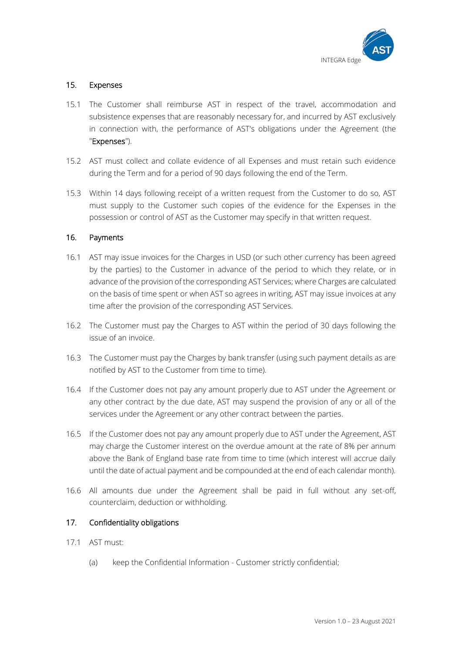

# 15. Expenses

- 15.1 The Customer shall reimburse AST in respect of the travel, accommodation and subsistence expenses that are reasonably necessary for, and incurred by AST exclusively in connection with, the performance of AST's obligations under the Agreement (the "Expenses").
- 15.2 AST must collect and collate evidence of all Expenses and must retain such evidence during the Term and for a period of 90 days following the end of the Term.
- 15.3 Within 14 days following receipt of a written request from the Customer to do so, AST must supply to the Customer such copies of the evidence for the Expenses in the possession or control of AST as the Customer may specify in that written request.

# 16. Payments

- 16.1 AST may issue invoices for the Charges in USD (or such other currency has been agreed by the parties) to the Customer in advance of the period to which they relate, or in advance of the provision of the corresponding AST Services; where Charges are calculated on the basis of time spent or when AST so agrees in writing, AST may issue invoices at any time after the provision of the corresponding AST Services.
- 16.2 The Customer must pay the Charges to AST within the period of 30 days following the issue of an invoice.
- 16.3 The Customer must pay the Charges by bank transfer (using such payment details as are notified by AST to the Customer from time to time).
- 16.4 If the Customer does not pay any amount properly due to AST under the Agreement or any other contract by the due date, AST may suspend the provision of any or all of the services under the Agreement or any other contract between the parties.
- 16.5 If the Customer does not pay any amount properly due to AST under the Agreement, AST may charge the Customer interest on the overdue amount at the rate of 8% per annum above the Bank of England base rate from time to time (which interest will accrue daily until the date of actual payment and be compounded at the end of each calendar month).
- 16.6 All amounts due under the Agreement shall be paid in full without any set-off, counterclaim, deduction or withholding.

# 17. Confidentiality obligations

- 17.1 AST must:
	- (a) keep the Confidential Information Customer strictly confidential;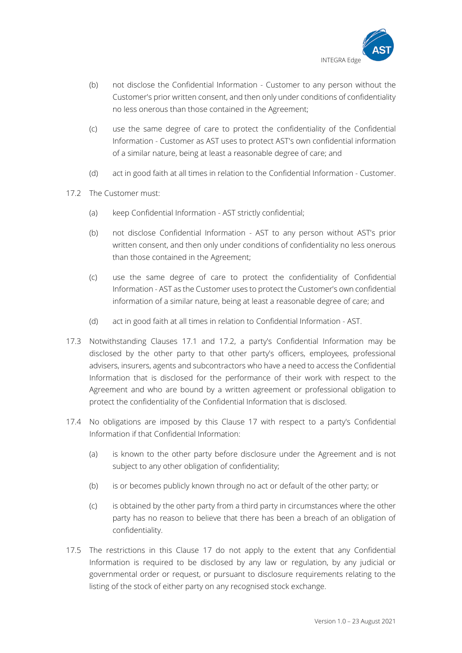

- (b) not disclose the Confidential Information Customer to any person without the Customer's prior written consent, and then only under conditions of confidentiality no less onerous than those contained in the Agreement;
- (c) use the same degree of care to protect the confidentiality of the Confidential Information - Customer as AST uses to protect AST's own confidential information of a similar nature, being at least a reasonable degree of care; and
- (d) act in good faith at all times in relation to the Confidential Information Customer.
- 17.2 The Customer must:
	- (a) keep Confidential Information AST strictly confidential;
	- (b) not disclose Confidential Information AST to any person without AST's prior written consent, and then only under conditions of confidentiality no less onerous than those contained in the Agreement;
	- (c) use the same degree of care to protect the confidentiality of Confidential Information - AST as the Customer uses to protect the Customer's own confidential information of a similar nature, being at least a reasonable degree of care; and
	- (d) act in good faith at all times in relation to Confidential Information AST.
- 17.3 Notwithstanding Clauses 17.1 and 17.2, a party's Confidential Information may be disclosed by the other party to that other party's officers, employees, professional advisers, insurers, agents and subcontractors who have a need to access the Confidential Information that is disclosed for the performance of their work with respect to the Agreement and who are bound by a written agreement or professional obligation to protect the confidentiality of the Confidential Information that is disclosed.
- 17.4 No obligations are imposed by this Clause 17 with respect to a party's Confidential Information if that Confidential Information:
	- (a) is known to the other party before disclosure under the Agreement and is not subject to any other obligation of confidentiality;
	- (b) is or becomes publicly known through no act or default of the other party; or
	- (c) is obtained by the other party from a third party in circumstances where the other party has no reason to believe that there has been a breach of an obligation of confidentiality.
- 17.5 The restrictions in this Clause 17 do not apply to the extent that any Confidential Information is required to be disclosed by any law or regulation, by any judicial or governmental order or request, or pursuant to disclosure requirements relating to the listing of the stock of either party on any recognised stock exchange.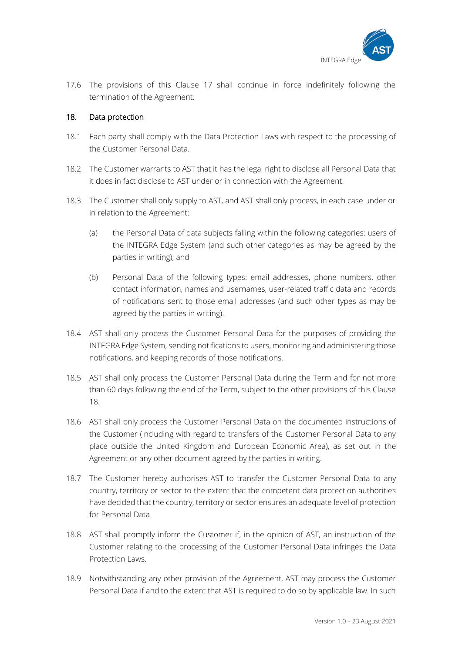

17.6 The provisions of this Clause 17 shall continue in force indefinitely following the termination of the Agreement.

# 18. Data protection

- 18.1 Each party shall comply with the Data Protection Laws with respect to the processing of the Customer Personal Data.
- 18.2 The Customer warrants to AST that it has the legal right to disclose all Personal Data that it does in fact disclose to AST under or in connection with the Agreement.
- 18.3 The Customer shall only supply to AST, and AST shall only process, in each case under or in relation to the Agreement:
	- (a) the Personal Data of data subjects falling within the following categories: users of the INTEGRA Edge System (and such other categories as may be agreed by the parties in writing); and
	- (b) Personal Data of the following types: email addresses, phone numbers, other contact information, names and usernames, user-related traffic data and records of notifications sent to those email addresses (and such other types as may be agreed by the parties in writing).
- 18.4 AST shall only process the Customer Personal Data for the purposes of providing the INTEGRA Edge System, sending notifications to users, monitoring and administering those notifications, and keeping records of those notifications.
- 18.5 AST shall only process the Customer Personal Data during the Term and for not more than 60 days following the end of the Term, subject to the other provisions of this Clause 18.
- 18.6 AST shall only process the Customer Personal Data on the documented instructions of the Customer (including with regard to transfers of the Customer Personal Data to any place outside the United Kingdom and European Economic Area), as set out in the Agreement or any other document agreed by the parties in writing.
- 18.7 The Customer hereby authorises AST to transfer the Customer Personal Data to any country, territory or sector to the extent that the competent data protection authorities have decided that the country, territory or sector ensures an adequate level of protection for Personal Data.
- 18.8 AST shall promptly inform the Customer if, in the opinion of AST, an instruction of the Customer relating to the processing of the Customer Personal Data infringes the Data Protection Laws.
- 18.9 Notwithstanding any other provision of the Agreement, AST may process the Customer Personal Data if and to the extent that AST is required to do so by applicable law. In such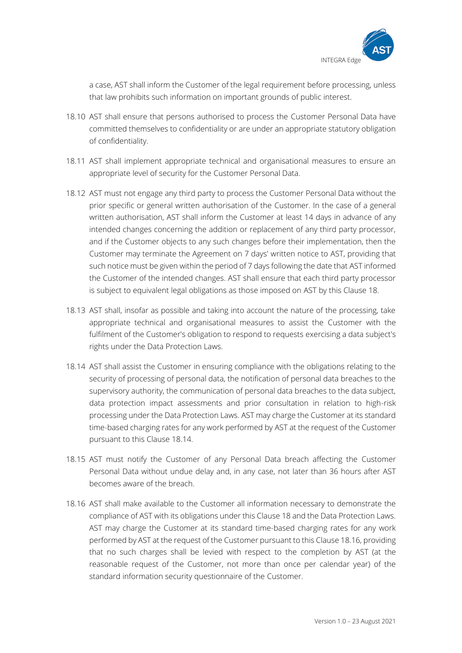

a case, AST shall inform the Customer of the legal requirement before processing, unless that law prohibits such information on important grounds of public interest.

- 18.10 AST shall ensure that persons authorised to process the Customer Personal Data have committed themselves to confidentiality or are under an appropriate statutory obligation of confidentiality.
- 18.11 AST shall implement appropriate technical and organisational measures to ensure an appropriate level of security for the Customer Personal Data.
- 18.12 AST must not engage any third party to process the Customer Personal Data without the prior specific or general written authorisation of the Customer. In the case of a general written authorisation, AST shall inform the Customer at least 14 days in advance of any intended changes concerning the addition or replacement of any third party processor, and if the Customer objects to any such changes before their implementation, then the Customer may terminate the Agreement on 7 days' written notice to AST, providing that such notice must be given within the period of 7 days following the date that AST informed the Customer of the intended changes. AST shall ensure that each third party processor is subject to equivalent legal obligations as those imposed on AST by this Clause 18.
- 18.13 AST shall, insofar as possible and taking into account the nature of the processing, take appropriate technical and organisational measures to assist the Customer with the fulfilment of the Customer's obligation to respond to requests exercising a data subject's rights under the Data Protection Laws.
- 18.14 AST shall assist the Customer in ensuring compliance with the obligations relating to the security of processing of personal data, the notification of personal data breaches to the supervisory authority, the communication of personal data breaches to the data subject, data protection impact assessments and prior consultation in relation to high-risk processing under the Data Protection Laws. AST may charge the Customer at its standard time-based charging rates for any work performed by AST at the request of the Customer pursuant to this Clause 18.14.
- 18.15 AST must notify the Customer of any Personal Data breach affecting the Customer Personal Data without undue delay and, in any case, not later than 36 hours after AST becomes aware of the breach.
- 18.16 AST shall make available to the Customer all information necessary to demonstrate the compliance of AST with its obligations under this Clause 18 and the Data Protection Laws. AST may charge the Customer at its standard time-based charging rates for any work performed by AST at the request of the Customer pursuant to this Clause 18.16, providing that no such charges shall be levied with respect to the completion by AST (at the reasonable request of the Customer, not more than once per calendar year) of the standard information security questionnaire of the Customer.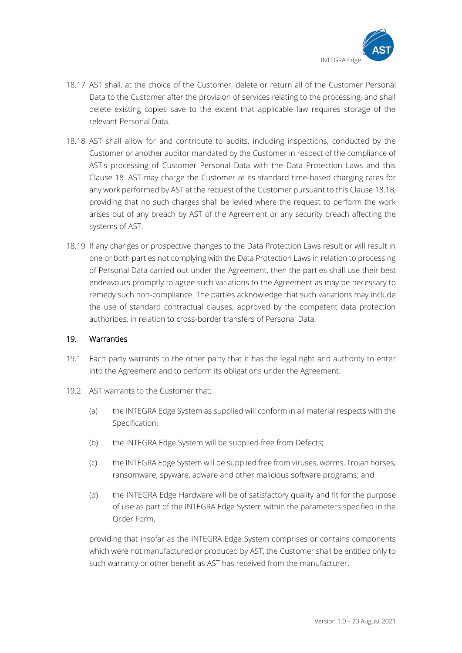

- 18.17 AST shall, at the choice of the Customer, delete or return all of the Customer Personal Data to the Customer after the provision of services relating to the processing, and shall delete existing copies save to the extent that applicable law requires storage of the relevant Personal Data.
- 18.18 AST shall allow for and contribute to audits, including inspections, conducted by the Customer or another auditor mandated by the Customer in respect of the compliance of AST's processing of Customer Personal Data with the Data Protection Laws and this Clause 18. AST may charge the Customer at its standard time-based charging rates for any work performed by AST at the request of the Customer pursuant to this Clause 18.18, providing that no such charges shall be levied where the request to perform the work arises out of any breach by AST of the Agreement or any security breach affecting the systems of AST.
- 18.19 If any changes or prospective changes to the Data Protection Laws result or will result in one or both parties not complying with the Data Protection Laws in relation to processing of Personal Data carried out under the Agreement, then the parties shall use their best endeavours promptly to agree such variations to the Agreement as may be necessary to remedy such non-compliance. The parties acknowledge that such variations may include the use of standard contractual clauses, approved by the competent data protection authorities, in relation to cross-border transfers of Personal Data.

### 19. Warranties

- 19.1 Each party warrants to the other party that it has the legal right and authority to enter into the Agreement and to perform its obligations under the Agreement.
- 19.2 AST warrants to the Customer that:
	- (a) the INTEGRA Edge System as supplied will conform in all material respects with the Specification;
	- (b) the INTEGRA Edge System will be supplied free from Defects;
	- (c) the INTEGRA Edge System will be supplied free from viruses, worms, Trojan horses, ransomware, spyware, adware and other malicious software programs; and
	- (d) the INTEGRA Edge Hardware will be of satisfactory quality and fit for the purpose of use as part of the INTEGRA Edge System within the parameters specified in the Order Form,

providing that insofar as the INTEGRA Edge System comprises or contains components which were not manufactured or produced by AST, the Customer shall be entitled only to such warranty or other benefit as AST has received from the manufacturer.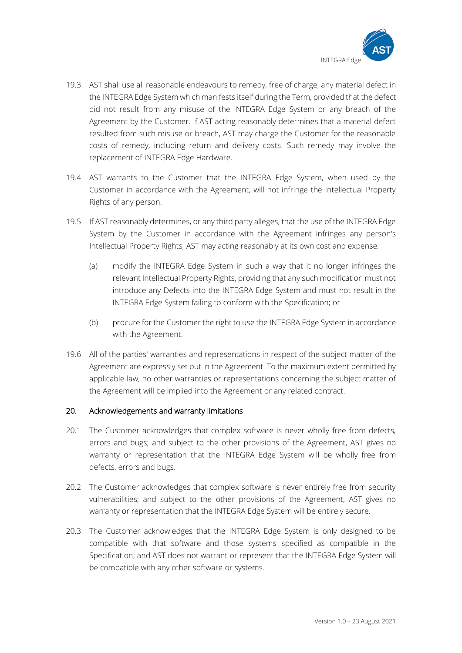

- 19.3 AST shall use all reasonable endeavours to remedy, free of charge, any material defect in the INTEGRA Edge System which manifests itself during the Term, provided that the defect did not result from any misuse of the INTEGRA Edge System or any breach of the Agreement by the Customer. If AST acting reasonably determines that a material defect resulted from such misuse or breach, AST may charge the Customer for the reasonable costs of remedy, including return and delivery costs. Such remedy may involve the replacement of INTEGRA Edge Hardware.
- 19.4 AST warrants to the Customer that the INTEGRA Edge System, when used by the Customer in accordance with the Agreement, will not infringe the Intellectual Property Rights of any person.
- 19.5 If AST reasonably determines, or any third party alleges, that the use of the INTEGRA Edge System by the Customer in accordance with the Agreement infringes any person's Intellectual Property Rights, AST may acting reasonably at its own cost and expense:
	- (a) modify the INTEGRA Edge System in such a way that it no longer infringes the relevant Intellectual Property Rights, providing that any such modification must not introduce any Defects into the INTEGRA Edge System and must not result in the INTEGRA Edge System failing to conform with the Specification; or
	- (b) procure for the Customer the right to use the INTEGRA Edge System in accordance with the Agreement.
- 19.6 All of the parties' warranties and representations in respect of the subject matter of the Agreement are expressly set out in the Agreement. To the maximum extent permitted by applicable law, no other warranties or representations concerning the subject matter of the Agreement will be implied into the Agreement or any related contract.

# 20. Acknowledgements and warranty limitations

- 20.1 The Customer acknowledges that complex software is never wholly free from defects, errors and bugs; and subject to the other provisions of the Agreement, AST gives no warranty or representation that the INTEGRA Edge System will be wholly free from defects, errors and bugs.
- 20.2 The Customer acknowledges that complex software is never entirely free from security vulnerabilities; and subject to the other provisions of the Agreement, AST gives no warranty or representation that the INTEGRA Edge System will be entirely secure.
- 20.3 The Customer acknowledges that the INTEGRA Edge System is only designed to be compatible with that software and those systems specified as compatible in the Specification; and AST does not warrant or represent that the INTEGRA Edge System will be compatible with any other software or systems.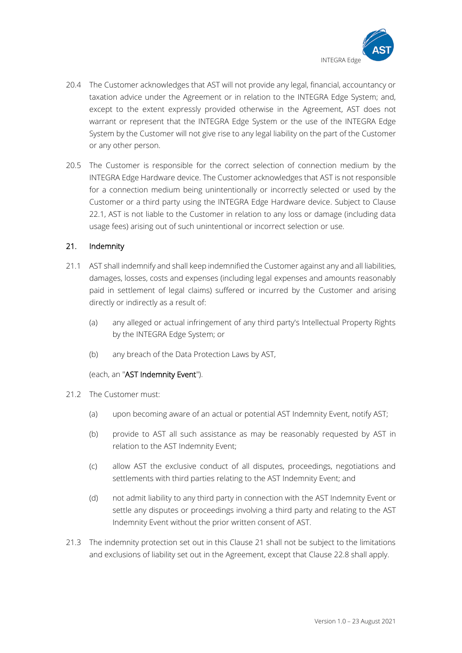

- 20.4 The Customer acknowledges that AST will not provide any legal, financial, accountancy or taxation advice under the Agreement or in relation to the INTEGRA Edge System; and, except to the extent expressly provided otherwise in the Agreement, AST does not warrant or represent that the INTEGRA Edge System or the use of the INTEGRA Edge System by the Customer will not give rise to any legal liability on the part of the Customer or any other person.
- 20.5 The Customer is responsible for the correct selection of connection medium by the INTEGRA Edge Hardware device. The Customer acknowledges that AST is not responsible for a connection medium being unintentionally or incorrectly selected or used by the Customer or a third party using the INTEGRA Edge Hardware device. Subject to Clause 22.1, AST is not liable to the Customer in relation to any loss or damage (including data usage fees) arising out of such unintentional or incorrect selection or use.

# 21. Indemnity

- 21.1 AST shall indemnify and shall keep indemnified the Customer against any and all liabilities, damages, losses, costs and expenses (including legal expenses and amounts reasonably paid in settlement of legal claims) suffered or incurred by the Customer and arising directly or indirectly as a result of:
	- (a) any alleged or actual infringement of any third party's Intellectual Property Rights by the INTEGRA Edge System; or
	- (b) any breach of the Data Protection Laws by AST,

(each, an "AST Indemnity Event").

- 21.2 The Customer must:
	- (a) upon becoming aware of an actual or potential AST Indemnity Event, notify AST;
	- (b) provide to AST all such assistance as may be reasonably requested by AST in relation to the AST Indemnity Event;
	- (c) allow AST the exclusive conduct of all disputes, proceedings, negotiations and settlements with third parties relating to the AST Indemnity Event; and
	- (d) not admit liability to any third party in connection with the AST Indemnity Event or settle any disputes or proceedings involving a third party and relating to the AST Indemnity Event without the prior written consent of AST.
- 21.3 The indemnity protection set out in this Clause 21 shall not be subject to the limitations and exclusions of liability set out in the Agreement, except that Clause 22.8 shall apply.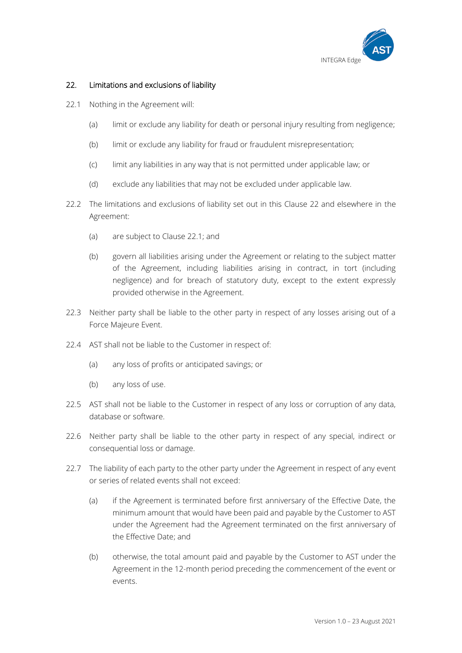

# 22. Limitations and exclusions of liability

- 22.1 Nothing in the Agreement will:
	- (a) limit or exclude any liability for death or personal injury resulting from negligence;
	- (b) limit or exclude any liability for fraud or fraudulent misrepresentation;
	- (c) limit any liabilities in any way that is not permitted under applicable law; or
	- (d) exclude any liabilities that may not be excluded under applicable law.
- 22.2 The limitations and exclusions of liability set out in this Clause 22 and elsewhere in the Agreement:
	- (a) are subject to Clause 22.1; and
	- (b) govern all liabilities arising under the Agreement or relating to the subject matter of the Agreement, including liabilities arising in contract, in tort (including negligence) and for breach of statutory duty, except to the extent expressly provided otherwise in the Agreement.
- 22.3 Neither party shall be liable to the other party in respect of any losses arising out of a Force Majeure Event.
- 22.4 AST shall not be liable to the Customer in respect of:
	- (a) any loss of profits or anticipated savings; or
	- (b) any loss of use.
- 22.5 AST shall not be liable to the Customer in respect of any loss or corruption of any data, database or software.
- 22.6 Neither party shall be liable to the other party in respect of any special, indirect or consequential loss or damage.
- 22.7 The liability of each party to the other party under the Agreement in respect of any event or series of related events shall not exceed:
	- (a) if the Agreement is terminated before first anniversary of the Effective Date, the minimum amount that would have been paid and payable by the Customer to AST under the Agreement had the Agreement terminated on the first anniversary of the Effective Date; and
	- (b) otherwise, the total amount paid and payable by the Customer to AST under the Agreement in the 12-month period preceding the commencement of the event or events.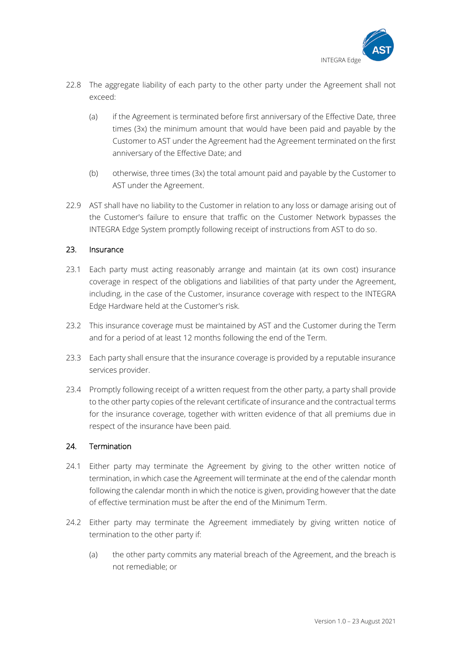

- 22.8 The aggregate liability of each party to the other party under the Agreement shall not exceed:
	- (a) if the Agreement is terminated before first anniversary of the Effective Date, three times (3x) the minimum amount that would have been paid and payable by the Customer to AST under the Agreement had the Agreement terminated on the first anniversary of the Effective Date; and
	- (b) otherwise, three times (3x) the total amount paid and payable by the Customer to AST under the Agreement.
- 22.9 AST shall have no liability to the Customer in relation to any loss or damage arising out of the Customer's failure to ensure that traffic on the Customer Network bypasses the INTEGRA Edge System promptly following receipt of instructions from AST to do so.

# 23. Insurance

- 23.1 Each party must acting reasonably arrange and maintain (at its own cost) insurance coverage in respect of the obligations and liabilities of that party under the Agreement, including, in the case of the Customer, insurance coverage with respect to the INTEGRA Edge Hardware held at the Customer's risk.
- 23.2 This insurance coverage must be maintained by AST and the Customer during the Term and for a period of at least 12 months following the end of the Term.
- 23.3 Each party shall ensure that the insurance coverage is provided by a reputable insurance services provider.
- 23.4 Promptly following receipt of a written request from the other party, a party shall provide to the other party copies of the relevant certificate of insurance and the contractual terms for the insurance coverage, together with written evidence of that all premiums due in respect of the insurance have been paid.

# 24. Termination

- 24.1 Either party may terminate the Agreement by giving to the other written notice of termination, in which case the Agreement will terminate at the end of the calendar month following the calendar month in which the notice is given, providing however that the date of effective termination must be after the end of the Minimum Term.
- 24.2 Either party may terminate the Agreement immediately by giving written notice of termination to the other party if:
	- (a) the other party commits any material breach of the Agreement, and the breach is not remediable; or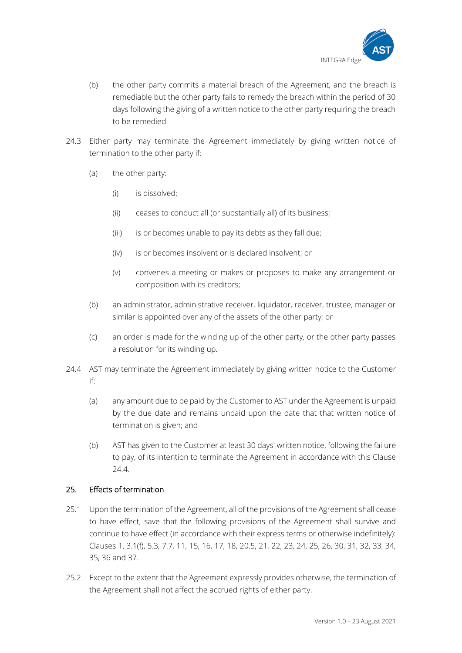

- (b) the other party commits a material breach of the Agreement, and the breach is remediable but the other party fails to remedy the breach within the period of 30 days following the giving of a written notice to the other party requiring the breach to be remedied.
- 24.3 Either party may terminate the Agreement immediately by giving written notice of termination to the other party if:
	- (a) the other party:
		- (i) is dissolved;
		- (ii) ceases to conduct all (or substantially all) of its business;
		- (iii) is or becomes unable to pay its debts as they fall due;
		- (iv) is or becomes insolvent or is declared insolvent; or
		- (v) convenes a meeting or makes or proposes to make any arrangement or composition with its creditors;
	- (b) an administrator, administrative receiver, liquidator, receiver, trustee, manager or similar is appointed over any of the assets of the other party; or
	- (c) an order is made for the winding up of the other party, or the other party passes a resolution for its winding up.
- 24.4 AST may terminate the Agreement immediately by giving written notice to the Customer if:
	- (a) any amount due to be paid by the Customer to AST under the Agreement is unpaid by the due date and remains unpaid upon the date that that written notice of termination is given; and
	- (b) AST has given to the Customer at least 30 days' written notice, following the failure to pay, of its intention to terminate the Agreement in accordance with this Clause 24.4.

# 25. Effects of termination

- 25.1 Upon the termination of the Agreement, all of the provisions of the Agreement shall cease to have effect, save that the following provisions of the Agreement shall survive and continue to have effect (in accordance with their express terms or otherwise indefinitely): Clauses 1, 3.1(f), 5.3, 7.7, 11, 15, 16, 17, 18, 20.5, 21, 22, 23, 24, 25, 26, 30, 31, 32, 33, 34, 35, 36 and 37.
- 25.2 Except to the extent that the Agreement expressly provides otherwise, the termination of the Agreement shall not affect the accrued rights of either party.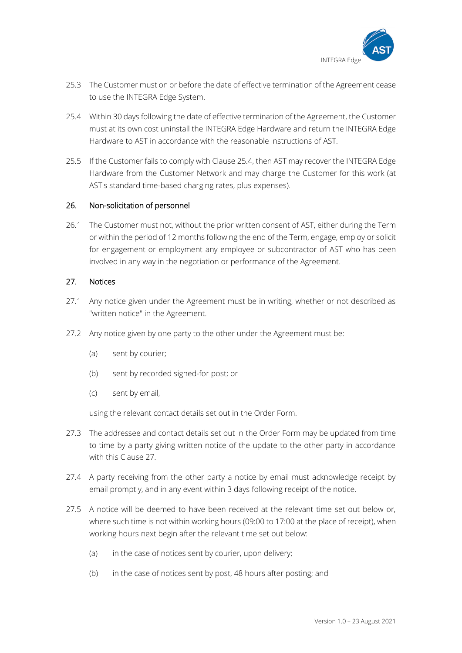

- 25.3 The Customer must on or before the date of effective termination of the Agreement cease to use the INTEGRA Edge System.
- 25.4 Within 30 days following the date of effective termination of the Agreement, the Customer must at its own cost uninstall the INTEGRA Edge Hardware and return the INTEGRA Edge Hardware to AST in accordance with the reasonable instructions of AST.
- 25.5 If the Customer fails to comply with Clause 25.4, then AST may recover the INTEGRA Edge Hardware from the Customer Network and may charge the Customer for this work (at AST's standard time-based charging rates, plus expenses).

# 26. Non-solicitation of personnel

26.1 The Customer must not, without the prior written consent of AST, either during the Term or within the period of 12 months following the end of the Term, engage, employ or solicit for engagement or employment any employee or subcontractor of AST who has been involved in any way in the negotiation or performance of the Agreement.

### 27. Notices

- 27.1 Any notice given under the Agreement must be in writing, whether or not described as "written notice" in the Agreement.
- 27.2 Any notice given by one party to the other under the Agreement must be:
	- (a) sent by courier;
	- (b) sent by recorded signed-for post; or
	- (c) sent by email,

using the relevant contact details set out in the Order Form.

- 27.3 The addressee and contact details set out in the Order Form may be updated from time to time by a party giving written notice of the update to the other party in accordance with this Clause 27.
- 27.4 A party receiving from the other party a notice by email must acknowledge receipt by email promptly, and in any event within 3 days following receipt of the notice.
- 27.5 A notice will be deemed to have been received at the relevant time set out below or, where such time is not within working hours (09:00 to 17:00 at the place of receipt), when working hours next begin after the relevant time set out below:
	- (a) in the case of notices sent by courier, upon delivery;
	- (b) in the case of notices sent by post, 48 hours after posting; and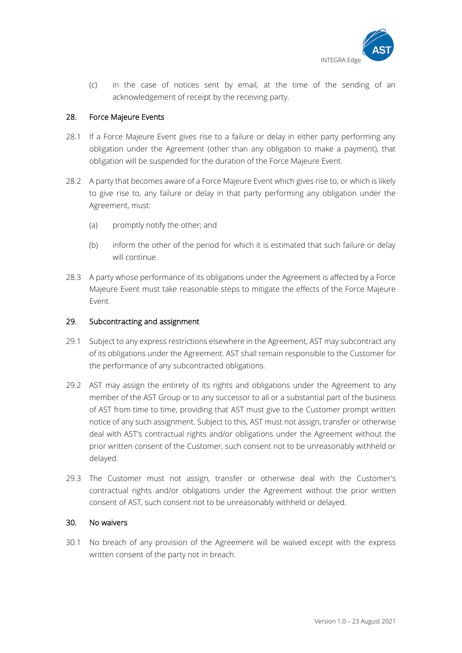

(c) in the case of notices sent by email, at the time of the sending of an acknowledgement of receipt by the receiving party.

# 28. Force Majeure Events

- 28.1 If a Force Majeure Event gives rise to a failure or delay in either party performing any obligation under the Agreement (other than any obligation to make a payment), that obligation will be suspended for the duration of the Force Majeure Event.
- 28.2 A party that becomes aware of a Force Majeure Event which gives rise to, or which is likely to give rise to, any failure or delay in that party performing any obligation under the Agreement, must:
	- (a) promptly notify the other; and
	- (b) inform the other of the period for which it is estimated that such failure or delay will continue.
- 28.3 A party whose performance of its obligations under the Agreement is affected by a Force Majeure Event must take reasonable steps to mitigate the effects of the Force Majeure Event.

### 29. Subcontracting and assignment

- 29.1 Subject to any express restrictions elsewhere in the Agreement, AST may subcontract any of its obligations under the Agreement. AST shall remain responsible to the Customer for the performance of any subcontracted obligations.
- 29.2 AST may assign the entirety of its rights and obligations under the Agreement to any member of the AST Group or to any successor to all or a substantial part of the business of AST from time to time, providing that AST must give to the Customer prompt written notice of any such assignment. Subject to this, AST must not assign, transfer or otherwise deal with AST's contractual rights and/or obligations under the Agreement without the prior written consent of the Customer, such consent not to be unreasonably withheld or delayed.
- 29.3 The Customer must not assign, transfer or otherwise deal with the Customer's contractual rights and/or obligations under the Agreement without the prior written consent of AST, such consent not to be unreasonably withheld or delayed.

#### 30. No waivers

30.1 No breach of any provision of the Agreement will be waived except with the express written consent of the party not in breach.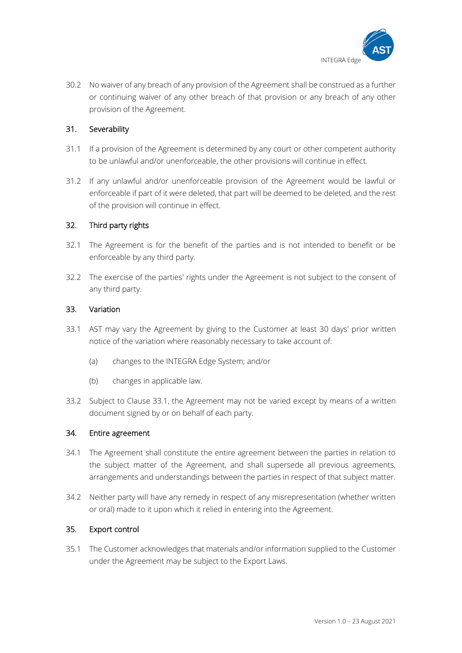

30.2 No waiver of any breach of any provision of the Agreement shall be construed as a further or continuing waiver of any other breach of that provision or any breach of any other provision of the Agreement.

# 31. Severability

- 31.1 If a provision of the Agreement is determined by any court or other competent authority to be unlawful and/or unenforceable, the other provisions will continue in effect.
- 31.2 If any unlawful and/or unenforceable provision of the Agreement would be lawful or enforceable if part of it were deleted, that part will be deemed to be deleted, and the rest of the provision will continue in effect.

### 32. Third party rights

- 32.1 The Agreement is for the benefit of the parties and is not intended to benefit or be enforceable by any third party.
- 32.2 The exercise of the parties' rights under the Agreement is not subject to the consent of any third party.

#### 33. Variation

- 33.1 AST may vary the Agreement by giving to the Customer at least 30 days' prior written notice of the variation where reasonably necessary to take account of:
	- (a) changes to the INTEGRA Edge System; and/or
	- (b) changes in applicable law.
- 33.2 Subject to Clause 33.1, the Agreement may not be varied except by means of a written document signed by or on behalf of each party.

#### 34. Entire agreement

- 34.1 The Agreement shall constitute the entire agreement between the parties in relation to the subject matter of the Agreement, and shall supersede all previous agreements, arrangements and understandings between the parties in respect of that subject matter.
- 34.2 Neither party will have any remedy in respect of any misrepresentation (whether written or oral) made to it upon which it relied in entering into the Agreement.

#### 35. Export control

35.1 The Customer acknowledges that materials and/or information supplied to the Customer under the Agreement may be subject to the Export Laws.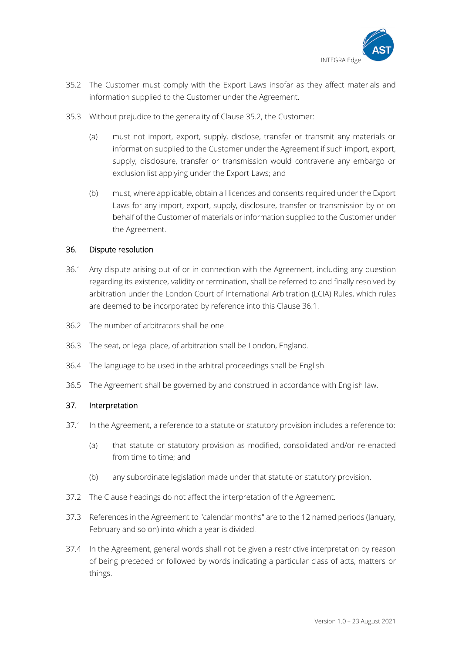

- 35.2 The Customer must comply with the Export Laws insofar as they affect materials and information supplied to the Customer under the Agreement.
- 35.3 Without prejudice to the generality of Clause 35.2, the Customer:
	- (a) must not import, export, supply, disclose, transfer or transmit any materials or information supplied to the Customer under the Agreement if such import, export, supply, disclosure, transfer or transmission would contravene any embargo or exclusion list applying under the Export Laws; and
	- (b) must, where applicable, obtain all licences and consents required under the Export Laws for any import, export, supply, disclosure, transfer or transmission by or on behalf of the Customer of materials or information supplied to the Customer under the Agreement.

### 36. Dispute resolution

- 36.1 Any dispute arising out of or in connection with the Agreement, including any question regarding its existence, validity or termination, shall be referred to and finally resolved by arbitration under the London Court of International Arbitration (LCIA) Rules, which rules are deemed to be incorporated by reference into this Clause 36.1.
- 36.2 The number of arbitrators shall be one.
- 36.3 The seat, or legal place, of arbitration shall be London, England.
- 36.4 The language to be used in the arbitral proceedings shall be English.
- 36.5 The Agreement shall be governed by and construed in accordance with English law.

#### 37. Interpretation

- 37.1 In the Agreement, a reference to a statute or statutory provision includes a reference to:
	- (a) that statute or statutory provision as modified, consolidated and/or re-enacted from time to time; and
	- (b) any subordinate legislation made under that statute or statutory provision.
- 37.2 The Clause headings do not affect the interpretation of the Agreement.
- 37.3 References in the Agreement to "calendar months" are to the 12 named periods (January, February and so on) into which a year is divided.
- 37.4 In the Agreement, general words shall not be given a restrictive interpretation by reason of being preceded or followed by words indicating a particular class of acts, matters or things.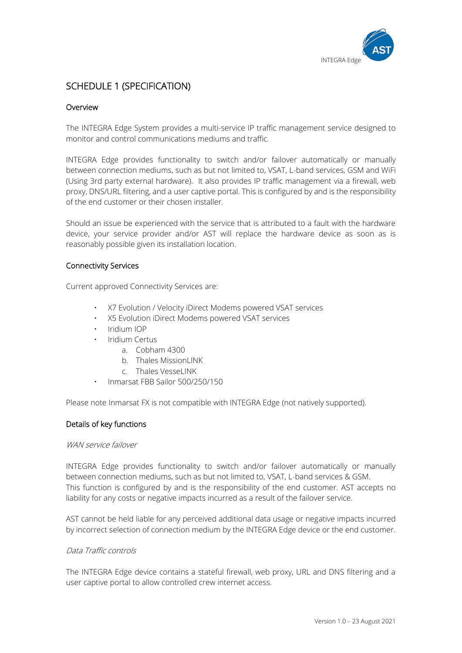

# SCHEDULE 1 (SPECIFICATION)

# Overview

The INTEGRA Edge System provides a multi-service IP traffic management service designed to monitor and control communications mediums and traffic.

INTEGRA Edge provides functionality to switch and/or failover automatically or manually between connection mediums, such as but not limited to, VSAT, L-band services, GSM and WiFi (Using 3rd party external hardware). It also provides IP traffic management via a firewall, web proxy, DNS/URL filtering, and a user captive portal. This is configured by and is the responsibility of the end customer or their chosen installer.

Should an issue be experienced with the service that is attributed to a fault with the hardware device, your service provider and/or AST will replace the hardware device as soon as is reasonably possible given its installation location.

### Connectivity Services

Current approved Connectivity Services are:

- X7 Evolution / Velocity iDirect Modems powered VSAT services
- X5 Evolution iDirect Modems powered VSAT services
- Iridium IOP
- Iridium Certus
	- a. Cobham 4300
	- b. Thales MissionLINK
	- c. Thales VesseLINK
- Inmarsat FBB Sailor 500/250/150

Please note Inmarsat FX is not compatible with INTEGRA Edge (not natively supported).

#### Details of key functions

#### WAN service failover

INTEGRA Edge provides functionality to switch and/or failover automatically or manually between connection mediums, such as but not limited to, VSAT, L-band services & GSM. This function is configured by and is the responsibility of the end customer. AST accepts no liability for any costs or negative impacts incurred as a result of the failover service.

AST cannot be held liable for any perceived additional data usage or negative impacts incurred by incorrect selection of connection medium by the INTEGRA Edge device or the end customer.

#### Data Traffic controls

The INTEGRA Edge device contains a stateful firewall, web proxy, URL and DNS filtering and a user captive portal to allow controlled crew internet access.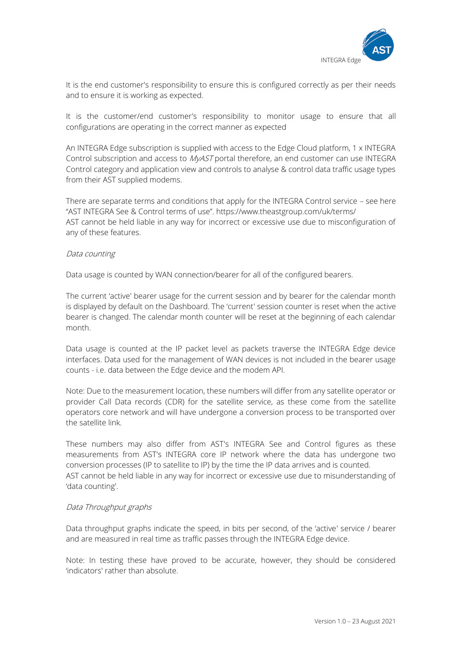

It is the end customer's responsibility to ensure this is configured correctly as per their needs and to ensure it is working as expected.

It is the customer/end customer's responsibility to monitor usage to ensure that all configurations are operating in the correct manner as expected

An INTEGRA Edge subscription is supplied with access to the Edge Cloud platform, 1 x INTEGRA Control subscription and access to *MyAST* portal therefore, an end customer can use INTEGRA Control category and application view and controls to analyse & control data traffic usage types from their AST supplied modems.

There are separate terms and conditions that apply for the INTEGRA Control service – see here "AST INTEGRA See & Control terms of use". https://www.theastgroup.com/uk/terms/ AST cannot be held liable in any way for incorrect or excessive use due to misconfiguration of any of these features.

### Data counting

Data usage is counted by WAN connection/bearer for all of the configured bearers.

The current 'active' bearer usage for the current session and by bearer for the calendar month is displayed by default on the Dashboard. The 'current' session counter is reset when the active bearer is changed. The calendar month counter will be reset at the beginning of each calendar month.

Data usage is counted at the IP packet level as packets traverse the INTEGRA Edge device interfaces. Data used for the management of WAN devices is not included in the bearer usage counts - i.e. data between the Edge device and the modem API.

Note: Due to the measurement location, these numbers will differ from any satellite operator or provider Call Data records (CDR) for the satellite service, as these come from the satellite operators core network and will have undergone a conversion process to be transported over the satellite link.

These numbers may also differ from AST's INTEGRA See and Control figures as these measurements from AST's INTEGRA core IP network where the data has undergone two conversion processes (IP to satellite to IP) by the time the IP data arrives and is counted. AST cannot be held liable in any way for incorrect or excessive use due to misunderstanding of 'data counting'.

#### Data Throughput graphs

Data throughput graphs indicate the speed, in bits per second, of the 'active' service / bearer and are measured in real time as traffic passes through the INTEGRA Edge device.

Note: In testing these have proved to be accurate, however, they should be considered 'indicators' rather than absolute.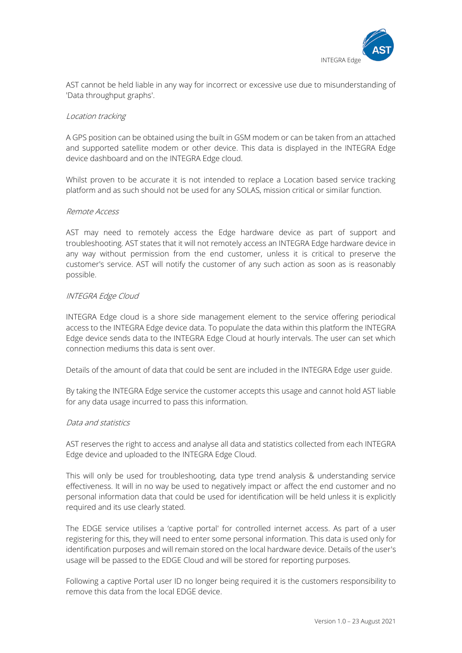

AST cannot be held liable in any way for incorrect or excessive use due to misunderstanding of 'Data throughput graphs'.

#### Location tracking

A GPS position can be obtained using the built in GSM modem or can be taken from an attached and supported satellite modem or other device. This data is displayed in the INTEGRA Edge device dashboard and on the INTEGRA Edge cloud.

Whilst proven to be accurate it is not intended to replace a Location based service tracking platform and as such should not be used for any SOLAS, mission critical or similar function.

#### Remote Access

AST may need to remotely access the Edge hardware device as part of support and troubleshooting. AST states that it will not remotely access an INTEGRA Edge hardware device in any way without permission from the end customer, unless it is critical to preserve the customer's service. AST will notify the customer of any such action as soon as is reasonably possible.

#### INTEGRA Edge Cloud

INTEGRA Edge cloud is a shore side management element to the service offering periodical access to the INTEGRA Edge device data. To populate the data within this platform the INTEGRA Edge device sends data to the INTEGRA Edge Cloud at hourly intervals. The user can set which connection mediums this data is sent over.

Details of the amount of data that could be sent are included in the INTEGRA Edge user guide.

By taking the INTEGRA Edge service the customer accepts this usage and cannot hold AST liable for any data usage incurred to pass this information.

#### Data and statistics

AST reserves the right to access and analyse all data and statistics collected from each INTEGRA Edge device and uploaded to the INTEGRA Edge Cloud.

This will only be used for troubleshooting, data type trend analysis & understanding service effectiveness. It will in no way be used to negatively impact or affect the end customer and no personal information data that could be used for identification will be held unless it is explicitly required and its use clearly stated.

The EDGE service utilises a 'captive portal' for controlled internet access. As part of a user registering for this, they will need to enter some personal information. This data is used only for identification purposes and will remain stored on the local hardware device. Details of the user's usage will be passed to the EDGE Cloud and will be stored for reporting purposes.

Following a captive Portal user ID no longer being required it is the customers responsibility to remove this data from the local EDGE device.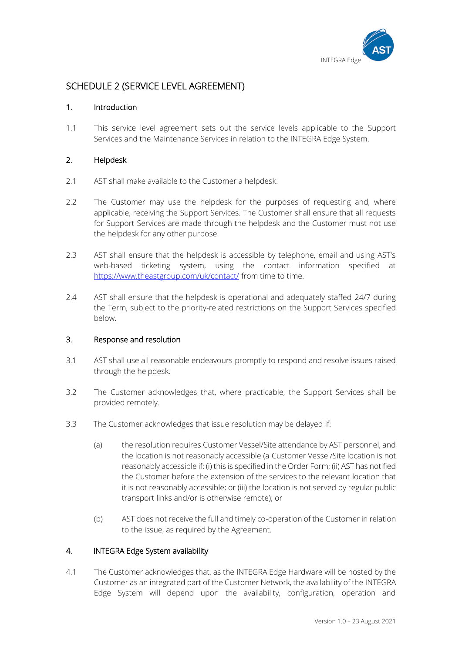

# SCHEDULE 2 (SERVICE LEVEL AGREEMENT)

# 1. Introduction

1.1 This service level agreement sets out the service levels applicable to the Support Services and the Maintenance Services in relation to the INTEGRA Edge System.

# 2. Helpdesk

- 2.1 AST shall make available to the Customer a helpdesk.
- 2.2 The Customer may use the helpdesk for the purposes of requesting and, where applicable, receiving the Support Services. The Customer shall ensure that all requests for Support Services are made through the helpdesk and the Customer must not use the helpdesk for any other purpose.
- 2.3 AST shall ensure that the helpdesk is accessible by telephone, email and using AST's web-based ticketing system, using the contact information specified at <https://www.theastgroup.com/uk/contact/> from time to time.
- 2.4 AST shall ensure that the helpdesk is operational and adequately staffed 24/7 during the Term, subject to the priority-related restrictions on the Support Services specified below.

# 3. Response and resolution

- 3.1 AST shall use all reasonable endeavours promptly to respond and resolve issues raised through the helpdesk.
- 3.2 The Customer acknowledges that, where practicable, the Support Services shall be provided remotely.
- 3.3 The Customer acknowledges that issue resolution may be delayed if:
	- (a) the resolution requires Customer Vessel/Site attendance by AST personnel, and the location is not reasonably accessible (a Customer Vessel/Site location is not reasonably accessible if: (i) this is specified in the Order Form; (ii) AST has notified the Customer before the extension of the services to the relevant location that it is not reasonably accessible; or (iii) the location is not served by regular public transport links and/or is otherwise remote); or
	- (b) AST does not receive the full and timely co-operation of the Customer in relation to the issue, as required by the Agreement.

# 4. INTEGRA Edge System availability

4.1 The Customer acknowledges that, as the INTEGRA Edge Hardware will be hosted by the Customer as an integrated part of the Customer Network, the availability of the INTEGRA Edge System will depend upon the availability, configuration, operation and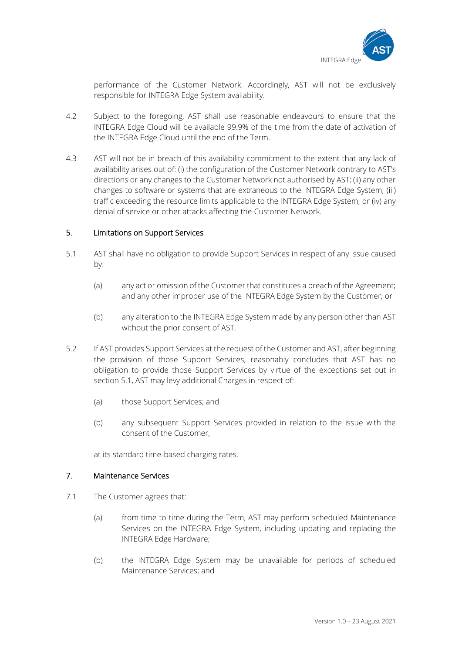

performance of the Customer Network. Accordingly, AST will not be exclusively responsible for INTEGRA Edge System availability.

- 4.2 Subject to the foregoing, AST shall use reasonable endeavours to ensure that the INTEGRA Edge Cloud will be available 99.9% of the time from the date of activation of the INTEGRA Edge Cloud until the end of the Term.
- 4.3 AST will not be in breach of this availability commitment to the extent that any lack of availability arises out of: (i) the configuration of the Customer Network contrary to AST's directions or any changes to the Customer Network not authorised by AST; (ii) any other changes to software or systems that are extraneous to the INTEGRA Edge System; (iii) traffic exceeding the resource limits applicable to the INTEGRA Edge System; or (iv) any denial of service or other attacks affecting the Customer Network.

### 5. Limitations on Support Services

- 5.1 AST shall have no obligation to provide Support Services in respect of any issue caused by:
	- (a) any act or omission of the Customer that constitutes a breach of the Agreement; and any other improper use of the INTEGRA Edge System by the Customer; or
	- (b) any alteration to the INTEGRA Edge System made by any person other than AST without the prior consent of AST.
- 5.2 If AST provides Support Services at the request of the Customer and AST, after beginning the provision of those Support Services, reasonably concludes that AST has no obligation to provide those Support Services by virtue of the exceptions set out in section 5.1, AST may levy additional Charges in respect of:
	- (a) those Support Services; and
	- (b) any subsequent Support Services provided in relation to the issue with the consent of the Customer,

at its standard time-based charging rates.

#### 7. Maintenance Services

- 7.1 The Customer agrees that:
	- (a) from time to time during the Term, AST may perform scheduled Maintenance Services on the INTEGRA Edge System, including updating and replacing the INTEGRA Edge Hardware;
	- (b) the INTEGRA Edge System may be unavailable for periods of scheduled Maintenance Services; and